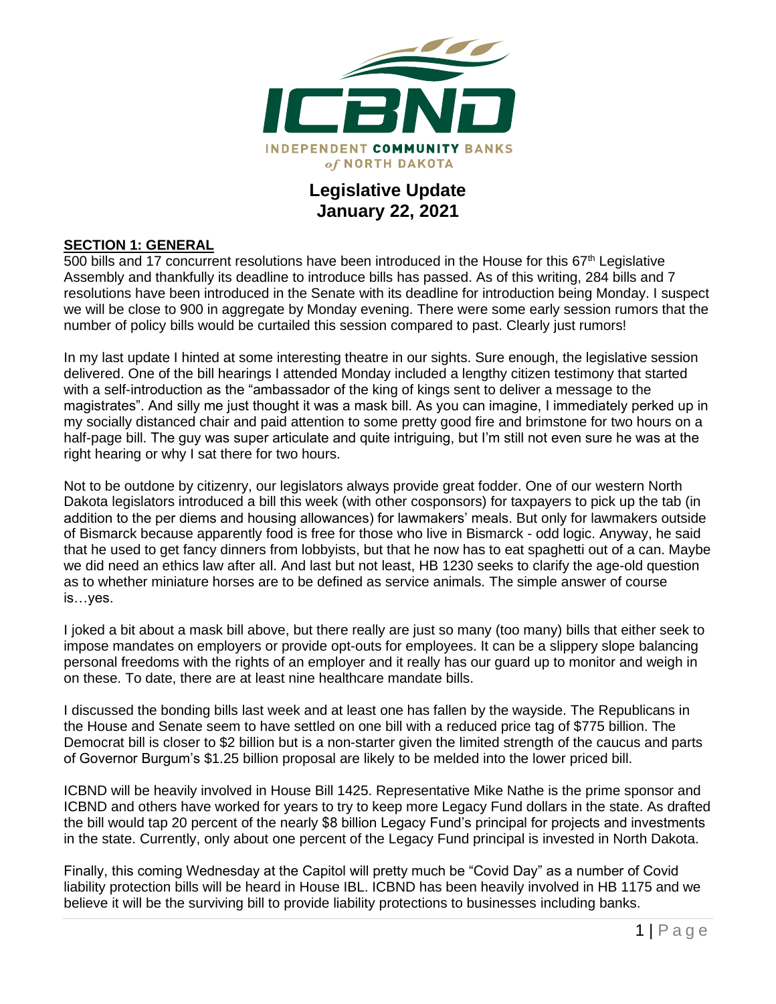

# **Legislative Update January 22, 2021**

#### **SECTION 1: GENERAL**

500 bills and 17 concurrent resolutions have been introduced in the House for this  $67<sup>th</sup>$  Legislative Assembly and thankfully its deadline to introduce bills has passed. As of this writing, 284 bills and 7 resolutions have been introduced in the Senate with its deadline for introduction being Monday. I suspect we will be close to 900 in aggregate by Monday evening. There were some early session rumors that the number of policy bills would be curtailed this session compared to past. Clearly just rumors!

In my last update I hinted at some interesting theatre in our sights. Sure enough, the legislative session delivered. One of the bill hearings I attended Monday included a lengthy citizen testimony that started with a self-introduction as the "ambassador of the king of kings sent to deliver a message to the magistrates". And silly me just thought it was a mask bill. As you can imagine, I immediately perked up in my socially distanced chair and paid attention to some pretty good fire and brimstone for two hours on a half-page bill. The guy was super articulate and quite intriguing, but I'm still not even sure he was at the right hearing or why I sat there for two hours.

Not to be outdone by citizenry, our legislators always provide great fodder. One of our western North Dakota legislators introduced a bill this week (with other cosponsors) for taxpayers to pick up the tab (in addition to the per diems and housing allowances) for lawmakers' meals. But only for lawmakers outside of Bismarck because apparently food is free for those who live in Bismarck - odd logic. Anyway, he said that he used to get fancy dinners from lobbyists, but that he now has to eat spaghetti out of a can. Maybe we did need an ethics law after all. And last but not least, HB 1230 seeks to clarify the age-old question as to whether miniature horses are to be defined as service animals. The simple answer of course is…yes.

I joked a bit about a mask bill above, but there really are just so many (too many) bills that either seek to impose mandates on employers or provide opt-outs for employees. It can be a slippery slope balancing personal freedoms with the rights of an employer and it really has our guard up to monitor and weigh in on these. To date, there are at least nine healthcare mandate bills.

I discussed the bonding bills last week and at least one has fallen by the wayside. The Republicans in the House and Senate seem to have settled on one bill with a reduced price tag of \$775 billion. The Democrat bill is closer to \$2 billion but is a non-starter given the limited strength of the caucus and parts of Governor Burgum's \$1.25 billion proposal are likely to be melded into the lower priced bill.

ICBND will be heavily involved in House Bill 1425. Representative Mike Nathe is the prime sponsor and ICBND and others have worked for years to try to keep more Legacy Fund dollars in the state. As drafted the bill would tap 20 percent of the nearly \$8 billion Legacy Fund's principal for projects and investments in the state. Currently, only about one percent of the Legacy Fund principal is invested in North Dakota.

Finally, this coming Wednesday at the Capitol will pretty much be "Covid Day" as a number of Covid liability protection bills will be heard in House IBL. ICBND has been heavily involved in HB 1175 and we believe it will be the surviving bill to provide liability protections to businesses including banks.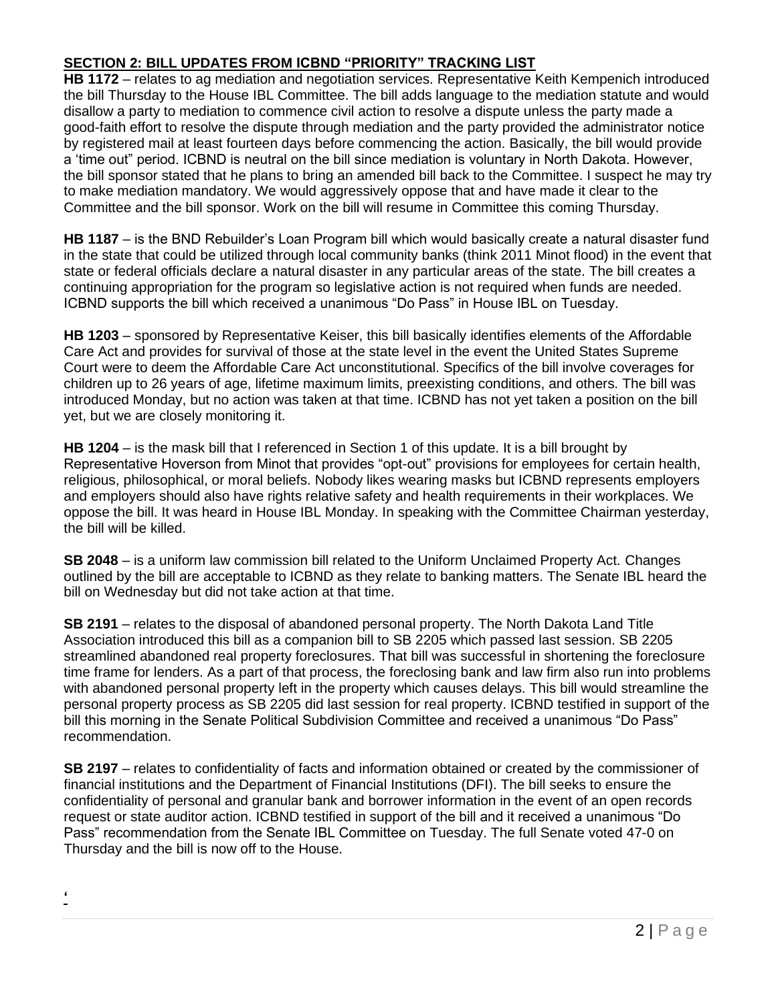## **SECTION 2: BILL UPDATES FROM ICBND "PRIORITY" TRACKING LIST**

**HB 1172** – relates to ag mediation and negotiation services. Representative Keith Kempenich introduced the bill Thursday to the House IBL Committee. The bill adds language to the mediation statute and would disallow a party to mediation to commence civil action to resolve a dispute unless the party made a good-faith effort to resolve the dispute through mediation and the party provided the administrator notice by registered mail at least fourteen days before commencing the action. Basically, the bill would provide a 'time out" period. ICBND is neutral on the bill since mediation is voluntary in North Dakota. However, the bill sponsor stated that he plans to bring an amended bill back to the Committee. I suspect he may try to make mediation mandatory. We would aggressively oppose that and have made it clear to the Committee and the bill sponsor. Work on the bill will resume in Committee this coming Thursday.

**HB 1187** – is the BND Rebuilder's Loan Program bill which would basically create a natural disaster fund in the state that could be utilized through local community banks (think 2011 Minot flood) in the event that state or federal officials declare a natural disaster in any particular areas of the state. The bill creates a continuing appropriation for the program so legislative action is not required when funds are needed. ICBND supports the bill which received a unanimous "Do Pass" in House IBL on Tuesday.

**HB 1203** – sponsored by Representative Keiser, this bill basically identifies elements of the Affordable Care Act and provides for survival of those at the state level in the event the United States Supreme Court were to deem the Affordable Care Act unconstitutional. Specifics of the bill involve coverages for children up to 26 years of age, lifetime maximum limits, preexisting conditions, and others. The bill was introduced Monday, but no action was taken at that time. ICBND has not yet taken a position on the bill yet, but we are closely monitoring it.

**HB 1204** – is the mask bill that I referenced in Section 1 of this update. It is a bill brought by Representative Hoverson from Minot that provides "opt-out" provisions for employees for certain health, religious, philosophical, or moral beliefs. Nobody likes wearing masks but ICBND represents employers and employers should also have rights relative safety and health requirements in their workplaces. We oppose the bill. It was heard in House IBL Monday. In speaking with the Committee Chairman yesterday, the bill will be killed.

**SB 2048** – is a uniform law commission bill related to the Uniform Unclaimed Property Act. Changes outlined by the bill are acceptable to ICBND as they relate to banking matters. The Senate IBL heard the bill on Wednesday but did not take action at that time.

**SB 2191** – relates to the disposal of abandoned personal property. The North Dakota Land Title Association introduced this bill as a companion bill to SB 2205 which passed last session. SB 2205 streamlined abandoned real property foreclosures. That bill was successful in shortening the foreclosure time frame for lenders. As a part of that process, the foreclosing bank and law firm also run into problems with abandoned personal property left in the property which causes delays. This bill would streamline the personal property process as SB 2205 did last session for real property. ICBND testified in support of the bill this morning in the Senate Political Subdivision Committee and received a unanimous "Do Pass" recommendation.

**SB 2197** – relates to confidentiality of facts and information obtained or created by the commissioner of financial institutions and the Department of Financial Institutions (DFI). The bill seeks to ensure the confidentiality of personal and granular bank and borrower information in the event of an open records request or state auditor action. ICBND testified in support of the bill and it received a unanimous "Do Pass" recommendation from the Senate IBL Committee on Tuesday. The full Senate voted 47-0 on Thursday and the bill is now off to the House.

**'**

2 | Page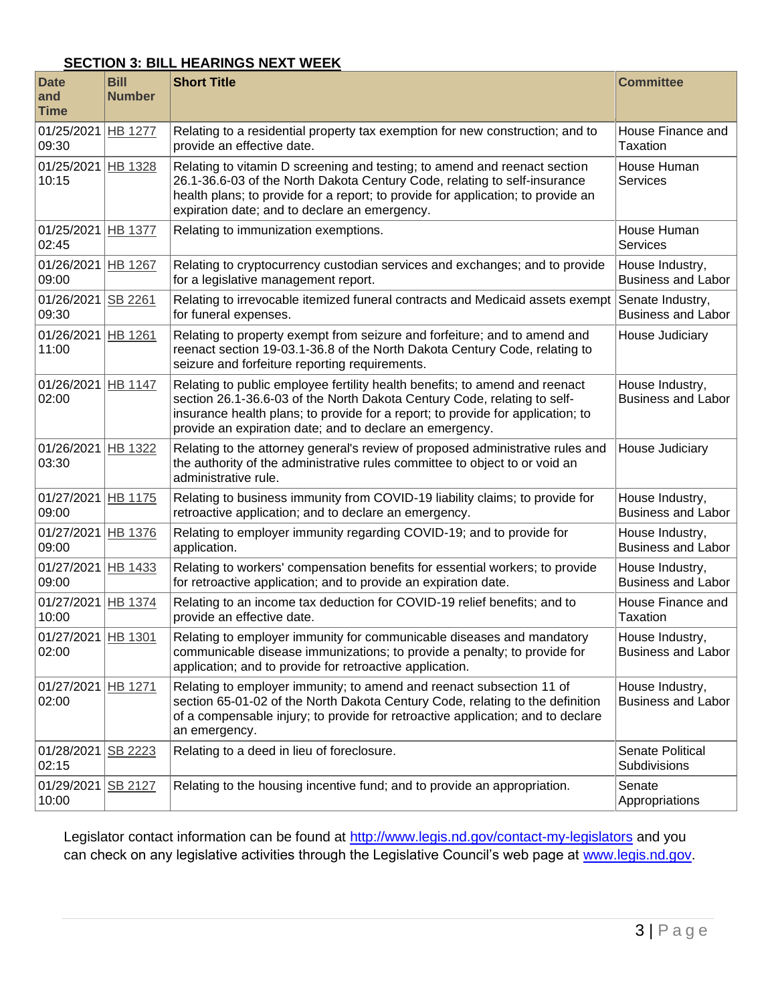### **SECTION 3: BILL HEARINGS NEXT WEEK**

| <b>Date</b><br>and<br><b>Time</b> | <b>Bill</b><br><b>Number</b> | <b>Short Title</b>                                                                                                                                                                                                                                                                                                                                     | <b>Committee</b>                              |
|-----------------------------------|------------------------------|--------------------------------------------------------------------------------------------------------------------------------------------------------------------------------------------------------------------------------------------------------------------------------------------------------------------------------------------------------|-----------------------------------------------|
| 01/25/2021<br>09:30               | <b>HB 1277</b>               | Relating to a residential property tax exemption for new construction; and to<br>provide an effective date.                                                                                                                                                                                                                                            | House Finance and<br>Taxation                 |
| 01/25/2021<br>10:15               | HB 1328                      | Relating to vitamin D screening and testing; to amend and reenact section<br>26.1-36.6-03 of the North Dakota Century Code, relating to self-insurance<br>health plans; to provide for a report; to provide for application; to provide an<br>expiration date; and to declare an emergency.                                                            | House Human<br><b>Services</b>                |
| 01/25/2021 HB 1377<br>02:45       |                              | Relating to immunization exemptions.                                                                                                                                                                                                                                                                                                                   | House Human<br>Services                       |
| 01/26/2021<br>09:00               | HB 1267                      | Relating to cryptocurrency custodian services and exchanges; and to provide<br>for a legislative management report.                                                                                                                                                                                                                                    | House Industry,<br><b>Business and Labor</b>  |
| 01/26/2021<br>09:30               | SB 2261                      | Relating to irrevocable itemized funeral contracts and Medicaid assets exempt<br>for funeral expenses.                                                                                                                                                                                                                                                 | Senate Industry,<br><b>Business and Labor</b> |
| 01/26/2021<br>11:00               | HB 1261                      | Relating to property exempt from seizure and forfeiture; and to amend and<br>reenact section 19-03.1-36.8 of the North Dakota Century Code, relating to<br>seizure and forfeiture reporting requirements.                                                                                                                                              | House Judiciary                               |
| 01/26/2021 HB 1147<br>02:00       |                              | Relating to public employee fertility health benefits; to amend and reenact<br>House Industry,<br>section 26.1-36.6-03 of the North Dakota Century Code, relating to self-<br><b>Business and Labor</b><br>insurance health plans; to provide for a report; to provide for application; to<br>provide an expiration date; and to declare an emergency. |                                               |
| 01/26/2021<br>03:30               | <b>HB 1322</b>               | Relating to the attorney general's review of proposed administrative rules and<br>the authority of the administrative rules committee to object to or void an<br>administrative rule.                                                                                                                                                                  | House Judiciary                               |
| 01/27/2021 HB 1175<br>09:00       |                              | Relating to business immunity from COVID-19 liability claims; to provide for<br>retroactive application; and to declare an emergency.                                                                                                                                                                                                                  | House Industry,<br><b>Business and Labor</b>  |
| 01/27/2021<br>09:00               | <b>HB 1376</b>               | Relating to employer immunity regarding COVID-19; and to provide for<br>application.                                                                                                                                                                                                                                                                   | House Industry,<br><b>Business and Labor</b>  |
| 01/27/2021<br>09:00               | HB 1433                      | Relating to workers' compensation benefits for essential workers; to provide<br>for retroactive application; and to provide an expiration date.                                                                                                                                                                                                        | House Industry,<br><b>Business and Labor</b>  |
| 01/27/2021<br>10:00               | HB 1374                      | Relating to an income tax deduction for COVID-19 relief benefits; and to<br>provide an effective date.                                                                                                                                                                                                                                                 | House Finance and<br>Taxation                 |
| 01/27/2021 HB 1301<br>02:00       |                              | Relating to employer immunity for communicable diseases and mandatory<br>communicable disease immunizations; to provide a penalty; to provide for<br>application; and to provide for retroactive application.                                                                                                                                          | House Industry,<br><b>Business and Labor</b>  |
| 01/27/2021 HB 1271<br>02:00       |                              | Relating to employer immunity; to amend and reenact subsection 11 of<br>section 65-01-02 of the North Dakota Century Code, relating to the definition<br>of a compensable injury; to provide for retroactive application; and to declare<br>an emergency.                                                                                              | House Industry,<br><b>Business and Labor</b>  |
| 01/28/2021<br>02:15               | <b>SB 2223</b>               | Relating to a deed in lieu of foreclosure.                                                                                                                                                                                                                                                                                                             | Senate Political<br>Subdivisions              |
| 01/29/2021<br>10:00               | <b>SB 2127</b>               | Relating to the housing incentive fund; and to provide an appropriation.                                                                                                                                                                                                                                                                               | Senate<br>Appropriations                      |

Legislator contact information can be found at<http://www.legis.nd.gov/contact-my-legislators> and you can check on any legislative activities through the Legislative Council's web page at [www.legis.nd.gov.](http://www.legis.nd.gov/)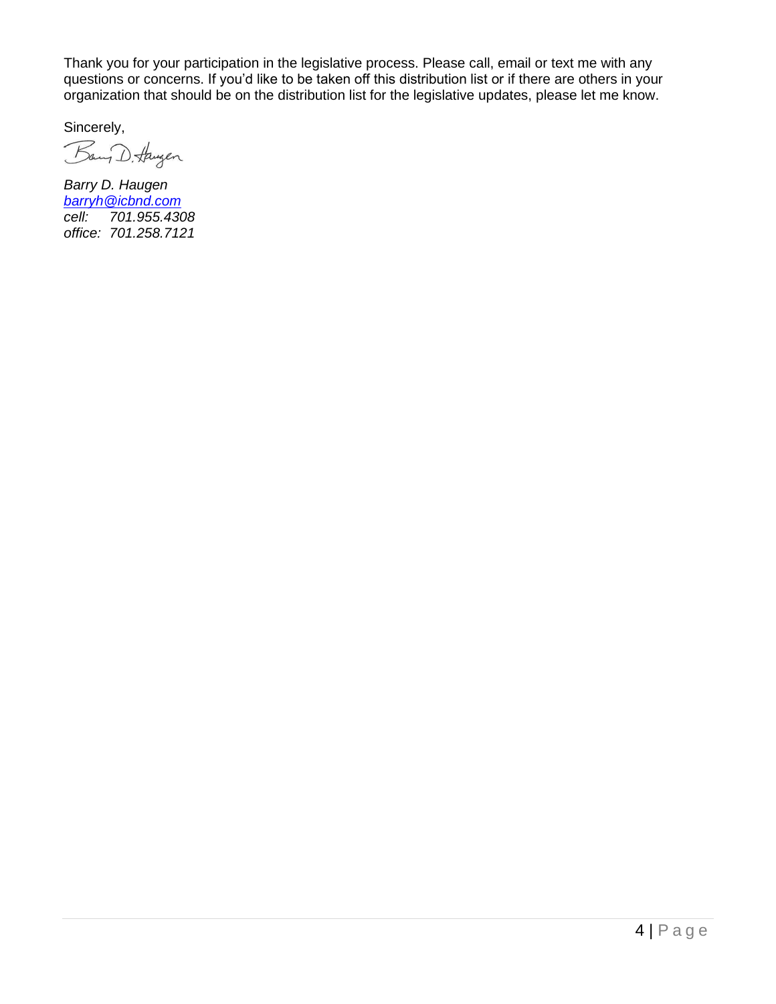Thank you for your participation in the legislative process. Please call, email or text me with any questions or concerns. If you'd like to be taken off this distribution list or if there are others in your organization that should be on the distribution list for the legislative updates, please let me know.

Sincerely,

Bany D. Haugen

*Barry D. Haugen [barryh@icbnd.com](mailto:barryh@icbnd.com) cell: 701.955.4308 office: 701.258.7121*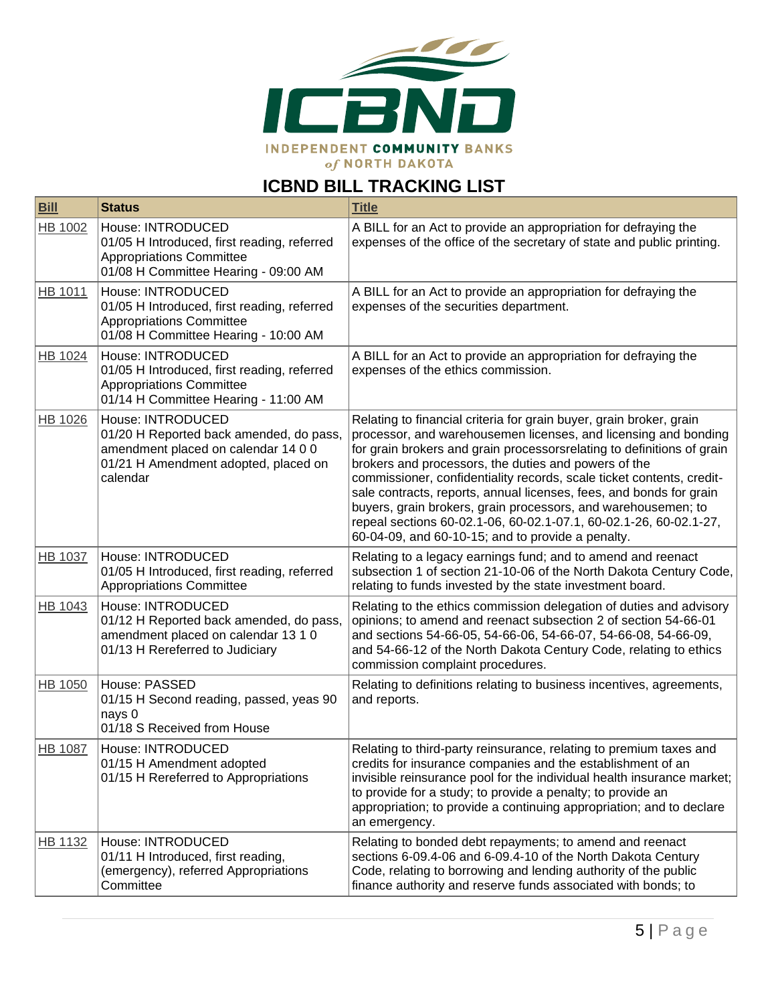

# **ICBND BILL TRACKING LIST**

| <b>Bill</b>    | <b>Status</b>                                                                                                                                           | <b>Title</b>                                                                                                                                                                                                                                                                                                                                                                                                                                                                                                                                                                                                        |
|----------------|---------------------------------------------------------------------------------------------------------------------------------------------------------|---------------------------------------------------------------------------------------------------------------------------------------------------------------------------------------------------------------------------------------------------------------------------------------------------------------------------------------------------------------------------------------------------------------------------------------------------------------------------------------------------------------------------------------------------------------------------------------------------------------------|
| <b>HB 1002</b> | House: INTRODUCED<br>01/05 H Introduced, first reading, referred<br><b>Appropriations Committee</b><br>01/08 H Committee Hearing - 09:00 AM             | A BILL for an Act to provide an appropriation for defraying the<br>expenses of the office of the secretary of state and public printing.                                                                                                                                                                                                                                                                                                                                                                                                                                                                            |
| <b>HB 1011</b> | House: INTRODUCED<br>01/05 H Introduced, first reading, referred<br><b>Appropriations Committee</b><br>01/08 H Committee Hearing - 10:00 AM             | A BILL for an Act to provide an appropriation for defraying the<br>expenses of the securities department.                                                                                                                                                                                                                                                                                                                                                                                                                                                                                                           |
| HB 1024        | House: INTRODUCED<br>01/05 H Introduced, first reading, referred<br><b>Appropriations Committee</b><br>01/14 H Committee Hearing - 11:00 AM             | A BILL for an Act to provide an appropriation for defraying the<br>expenses of the ethics commission.                                                                                                                                                                                                                                                                                                                                                                                                                                                                                                               |
| <b>HB 1026</b> | House: INTRODUCED<br>01/20 H Reported back amended, do pass,<br>amendment placed on calendar 14 0 0<br>01/21 H Amendment adopted, placed on<br>calendar | Relating to financial criteria for grain buyer, grain broker, grain<br>processor, and warehousemen licenses, and licensing and bonding<br>for grain brokers and grain processorsrelating to definitions of grain<br>brokers and processors, the duties and powers of the<br>commissioner, confidentiality records, scale ticket contents, credit-<br>sale contracts, reports, annual licenses, fees, and bonds for grain<br>buyers, grain brokers, grain processors, and warehousemen; to<br>repeal sections 60-02.1-06, 60-02.1-07.1, 60-02.1-26, 60-02.1-27,<br>60-04-09, and 60-10-15; and to provide a penalty. |
| HB 1037        | House: INTRODUCED<br>01/05 H Introduced, first reading, referred<br><b>Appropriations Committee</b>                                                     | Relating to a legacy earnings fund; and to amend and reenact<br>subsection 1 of section 21-10-06 of the North Dakota Century Code,<br>relating to funds invested by the state investment board.                                                                                                                                                                                                                                                                                                                                                                                                                     |
| HB 1043        | House: INTRODUCED<br>01/12 H Reported back amended, do pass,<br>amendment placed on calendar 13 1 0<br>01/13 H Rereferred to Judiciary                  | Relating to the ethics commission delegation of duties and advisory<br>opinions; to amend and reenact subsection 2 of section 54-66-01<br>and sections 54-66-05, 54-66-06, 54-66-07, 54-66-08, 54-66-09,<br>and 54-66-12 of the North Dakota Century Code, relating to ethics<br>commission complaint procedures.                                                                                                                                                                                                                                                                                                   |
| HB 1050        | House: PASSED<br>01/15 H Second reading, passed, yeas 90<br>nays 0<br>01/18 S Received from House                                                       | Relating to definitions relating to business incentives, agreements,<br>and reports.                                                                                                                                                                                                                                                                                                                                                                                                                                                                                                                                |
| <b>HB 1087</b> | House: INTRODUCED<br>01/15 H Amendment adopted<br>01/15 H Rereferred to Appropriations                                                                  | Relating to third-party reinsurance, relating to premium taxes and<br>credits for insurance companies and the establishment of an<br>invisible reinsurance pool for the individual health insurance market;<br>to provide for a study; to provide a penalty; to provide an<br>appropriation; to provide a continuing appropriation; and to declare<br>an emergency.                                                                                                                                                                                                                                                 |
| HB 1132        | House: INTRODUCED<br>01/11 H Introduced, first reading,<br>(emergency), referred Appropriations<br>Committee                                            | Relating to bonded debt repayments; to amend and reenact<br>sections 6-09.4-06 and 6-09.4-10 of the North Dakota Century<br>Code, relating to borrowing and lending authority of the public<br>finance authority and reserve funds associated with bonds; to                                                                                                                                                                                                                                                                                                                                                        |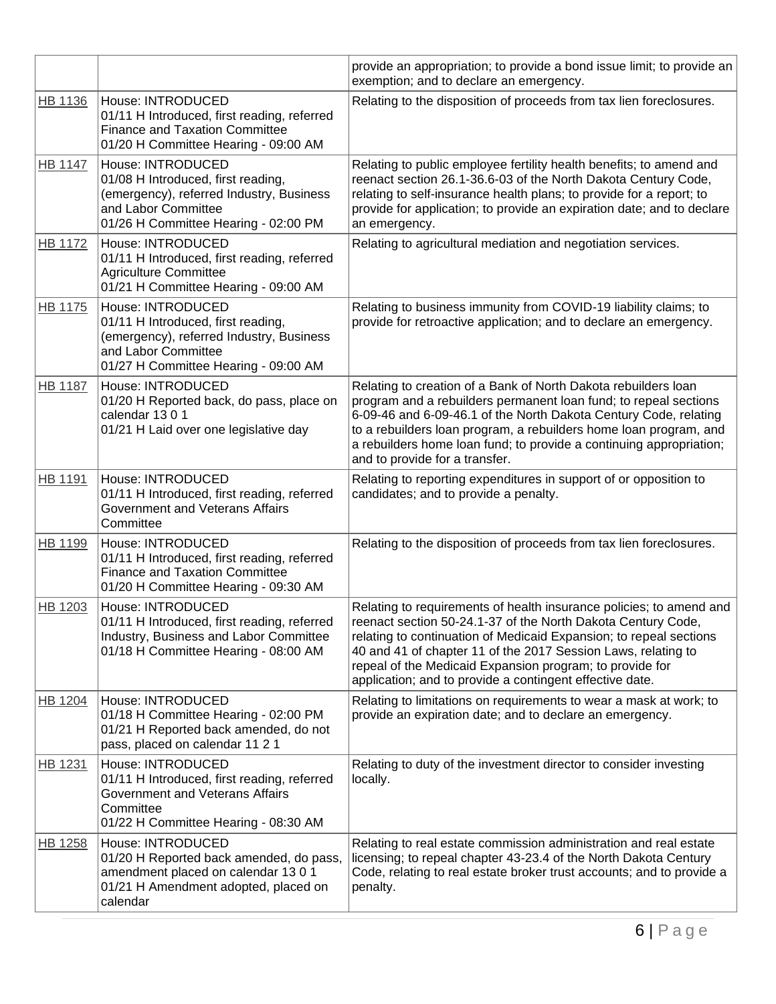|                |                                                                                                                                                                    | provide an appropriation; to provide a bond issue limit; to provide an<br>exemption; and to declare an emergency.                                                                                                                                                                                                                                                                                  |
|----------------|--------------------------------------------------------------------------------------------------------------------------------------------------------------------|----------------------------------------------------------------------------------------------------------------------------------------------------------------------------------------------------------------------------------------------------------------------------------------------------------------------------------------------------------------------------------------------------|
| HB 1136        | House: INTRODUCED<br>01/11 H Introduced, first reading, referred<br><b>Finance and Taxation Committee</b><br>01/20 H Committee Hearing - 09:00 AM                  | Relating to the disposition of proceeds from tax lien foreclosures.                                                                                                                                                                                                                                                                                                                                |
| <b>HB 1147</b> | House: INTRODUCED<br>01/08 H Introduced, first reading,<br>(emergency), referred Industry, Business<br>and Labor Committee<br>01/26 H Committee Hearing - 02:00 PM | Relating to public employee fertility health benefits; to amend and<br>reenact section 26.1-36.6-03 of the North Dakota Century Code,<br>relating to self-insurance health plans; to provide for a report; to<br>provide for application; to provide an expiration date; and to declare<br>an emergency.                                                                                           |
| <b>HB 1172</b> | House: INTRODUCED<br>01/11 H Introduced, first reading, referred<br><b>Agriculture Committee</b><br>01/21 H Committee Hearing - 09:00 AM                           | Relating to agricultural mediation and negotiation services.                                                                                                                                                                                                                                                                                                                                       |
| HB 1175        | House: INTRODUCED<br>01/11 H Introduced, first reading,<br>(emergency), referred Industry, Business<br>and Labor Committee<br>01/27 H Committee Hearing - 09:00 AM | Relating to business immunity from COVID-19 liability claims; to<br>provide for retroactive application; and to declare an emergency.                                                                                                                                                                                                                                                              |
| <b>HB 1187</b> | House: INTRODUCED<br>01/20 H Reported back, do pass, place on<br>calendar 13 0 1<br>01/21 H Laid over one legislative day                                          | Relating to creation of a Bank of North Dakota rebuilders loan<br>program and a rebuilders permanent loan fund; to repeal sections<br>6-09-46 and 6-09-46.1 of the North Dakota Century Code, relating<br>to a rebuilders loan program, a rebuilders home loan program, and<br>a rebuilders home loan fund; to provide a continuing appropriation;<br>and to provide for a transfer.               |
| <b>HB 1191</b> | House: INTRODUCED<br>01/11 H Introduced, first reading, referred<br>Government and Veterans Affairs<br>Committee                                                   | Relating to reporting expenditures in support of or opposition to<br>candidates; and to provide a penalty.                                                                                                                                                                                                                                                                                         |
| HB 1199        | House: INTRODUCED<br>01/11 H Introduced, first reading, referred<br><b>Finance and Taxation Committee</b><br>01/20 H Committee Hearing - 09:30 AM                  | Relating to the disposition of proceeds from tax lien foreclosures.                                                                                                                                                                                                                                                                                                                                |
| HB 1203        | House: INTRODUCED<br>01/11 H Introduced, first reading, referred<br>Industry, Business and Labor Committee<br>01/18 H Committee Hearing - 08:00 AM                 | Relating to requirements of health insurance policies; to amend and<br>reenact section 50-24.1-37 of the North Dakota Century Code,<br>relating to continuation of Medicaid Expansion; to repeal sections<br>40 and 41 of chapter 11 of the 2017 Session Laws, relating to<br>repeal of the Medicaid Expansion program; to provide for<br>application; and to provide a contingent effective date. |
| HB 1204        | House: INTRODUCED<br>01/18 H Committee Hearing - 02:00 PM<br>01/21 H Reported back amended, do not<br>pass, placed on calendar 11 2 1                              | Relating to limitations on requirements to wear a mask at work; to<br>provide an expiration date; and to declare an emergency.                                                                                                                                                                                                                                                                     |
| HB 1231        | House: INTRODUCED<br>01/11 H Introduced, first reading, referred<br>Government and Veterans Affairs<br>Committee<br>01/22 H Committee Hearing - 08:30 AM           | Relating to duty of the investment director to consider investing<br>locally.                                                                                                                                                                                                                                                                                                                      |
| <b>HB 1258</b> | House: INTRODUCED<br>01/20 H Reported back amended, do pass,<br>amendment placed on calendar 13 0 1<br>01/21 H Amendment adopted, placed on<br>calendar            | Relating to real estate commission administration and real estate<br>licensing; to repeal chapter 43-23.4 of the North Dakota Century<br>Code, relating to real estate broker trust accounts; and to provide a<br>penalty.                                                                                                                                                                         |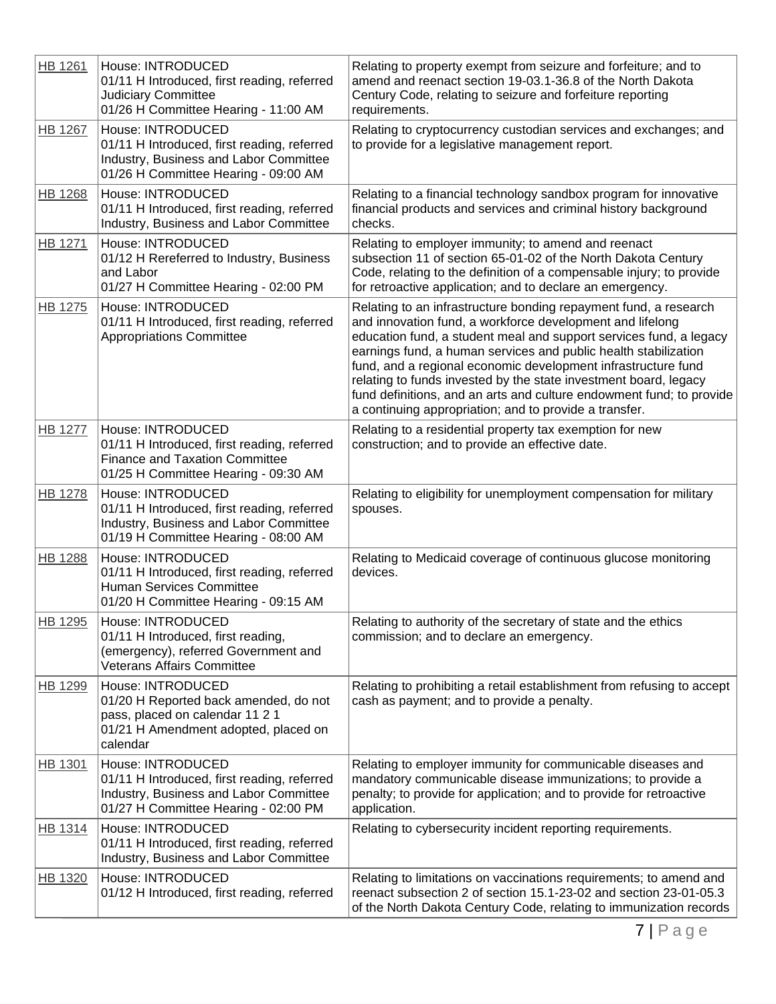| <b>HB 1261</b> | House: INTRODUCED<br>01/11 H Introduced, first reading, referred<br><b>Judiciary Committee</b><br>01/26 H Committee Hearing - 11:00 AM             | Relating to property exempt from seizure and forfeiture; and to<br>amend and reenact section 19-03.1-36.8 of the North Dakota<br>Century Code, relating to seizure and forfeiture reporting<br>requirements.                                                                                                                                                                                                                                                                                                                                  |
|----------------|----------------------------------------------------------------------------------------------------------------------------------------------------|-----------------------------------------------------------------------------------------------------------------------------------------------------------------------------------------------------------------------------------------------------------------------------------------------------------------------------------------------------------------------------------------------------------------------------------------------------------------------------------------------------------------------------------------------|
| <b>HB 1267</b> | House: INTRODUCED<br>01/11 H Introduced, first reading, referred<br>Industry, Business and Labor Committee<br>01/26 H Committee Hearing - 09:00 AM | Relating to cryptocurrency custodian services and exchanges; and<br>to provide for a legislative management report.                                                                                                                                                                                                                                                                                                                                                                                                                           |
| HB 1268        | House: INTRODUCED<br>01/11 H Introduced, first reading, referred<br>Industry, Business and Labor Committee                                         | Relating to a financial technology sandbox program for innovative<br>financial products and services and criminal history background<br>checks.                                                                                                                                                                                                                                                                                                                                                                                               |
| HB 1271        | House: INTRODUCED<br>01/12 H Rereferred to Industry, Business<br>and Labor<br>01/27 H Committee Hearing - 02:00 PM                                 | Relating to employer immunity; to amend and reenact<br>subsection 11 of section 65-01-02 of the North Dakota Century<br>Code, relating to the definition of a compensable injury; to provide<br>for retroactive application; and to declare an emergency.                                                                                                                                                                                                                                                                                     |
| <u>HB 1275</u> | House: INTRODUCED<br>01/11 H Introduced, first reading, referred<br><b>Appropriations Committee</b>                                                | Relating to an infrastructure bonding repayment fund, a research<br>and innovation fund, a workforce development and lifelong<br>education fund, a student meal and support services fund, a legacy<br>earnings fund, a human services and public health stabilization<br>fund, and a regional economic development infrastructure fund<br>relating to funds invested by the state investment board, legacy<br>fund definitions, and an arts and culture endowment fund; to provide<br>a continuing appropriation; and to provide a transfer. |
| HB 1277        | House: INTRODUCED<br>01/11 H Introduced, first reading, referred<br><b>Finance and Taxation Committee</b><br>01/25 H Committee Hearing - 09:30 AM  | Relating to a residential property tax exemption for new<br>construction; and to provide an effective date.                                                                                                                                                                                                                                                                                                                                                                                                                                   |
| HB 1278        | House: INTRODUCED<br>01/11 H Introduced, first reading, referred<br>Industry, Business and Labor Committee<br>01/19 H Committee Hearing - 08:00 AM | Relating to eligibility for unemployment compensation for military<br>spouses.                                                                                                                                                                                                                                                                                                                                                                                                                                                                |
| <b>HB 1288</b> | House: INTRODUCED<br>01/11 H Introduced, first reading, referred<br>Human Services Committee<br>01/20 H Committee Hearing - 09:15 AM               | Relating to Medicaid coverage of continuous glucose monitoring<br>devices.                                                                                                                                                                                                                                                                                                                                                                                                                                                                    |
| <b>HB 1295</b> | House: INTRODUCED<br>01/11 H Introduced, first reading,<br>(emergency), referred Government and<br>Veterans Affairs Committee                      | Relating to authority of the secretary of state and the ethics<br>commission; and to declare an emergency.                                                                                                                                                                                                                                                                                                                                                                                                                                    |
| HB 1299        | House: INTRODUCED<br>01/20 H Reported back amended, do not<br>pass, placed on calendar 11 2 1<br>01/21 H Amendment adopted, placed on<br>calendar  | Relating to prohibiting a retail establishment from refusing to accept<br>cash as payment; and to provide a penalty.                                                                                                                                                                                                                                                                                                                                                                                                                          |
| HB 1301        | House: INTRODUCED<br>01/11 H Introduced, first reading, referred<br>Industry, Business and Labor Committee<br>01/27 H Committee Hearing - 02:00 PM | Relating to employer immunity for communicable diseases and<br>mandatory communicable disease immunizations; to provide a<br>penalty; to provide for application; and to provide for retroactive<br>application.                                                                                                                                                                                                                                                                                                                              |
| HB 1314        | House: INTRODUCED<br>01/11 H Introduced, first reading, referred<br>Industry, Business and Labor Committee                                         | Relating to cybersecurity incident reporting requirements.                                                                                                                                                                                                                                                                                                                                                                                                                                                                                    |
| HB 1320        | House: INTRODUCED<br>01/12 H Introduced, first reading, referred                                                                                   | Relating to limitations on vaccinations requirements; to amend and<br>reenact subsection 2 of section 15.1-23-02 and section 23-01-05.3<br>of the North Dakota Century Code, relating to immunization records                                                                                                                                                                                                                                                                                                                                 |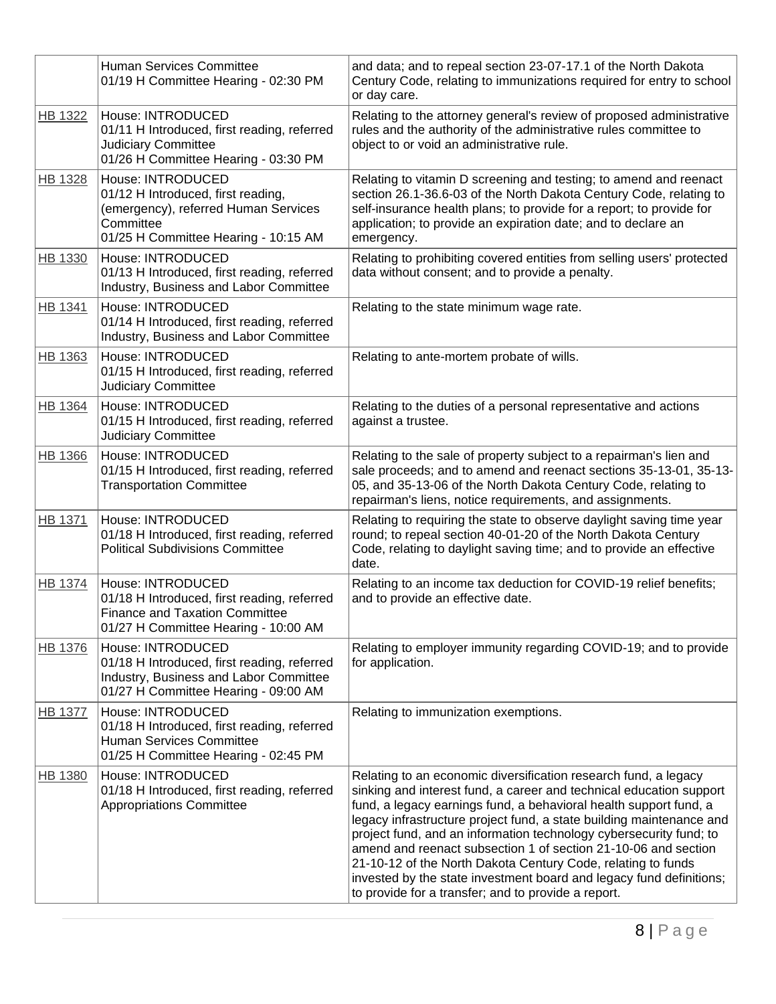|                | Human Services Committee<br>01/19 H Committee Hearing - 02:30 PM                                                                                     | and data; and to repeal section 23-07-17.1 of the North Dakota<br>Century Code, relating to immunizations required for entry to school<br>or day care.                                                                                                                                                                                                                                                                                                                                                                                                                                                                    |
|----------------|------------------------------------------------------------------------------------------------------------------------------------------------------|---------------------------------------------------------------------------------------------------------------------------------------------------------------------------------------------------------------------------------------------------------------------------------------------------------------------------------------------------------------------------------------------------------------------------------------------------------------------------------------------------------------------------------------------------------------------------------------------------------------------------|
| <b>HB 1322</b> | House: INTRODUCED<br>01/11 H Introduced, first reading, referred<br><b>Judiciary Committee</b><br>01/26 H Committee Hearing - 03:30 PM               | Relating to the attorney general's review of proposed administrative<br>rules and the authority of the administrative rules committee to<br>object to or void an administrative rule.                                                                                                                                                                                                                                                                                                                                                                                                                                     |
| <b>HB 1328</b> | House: INTRODUCED<br>01/12 H Introduced, first reading,<br>(emergency), referred Human Services<br>Committee<br>01/25 H Committee Hearing - 10:15 AM | Relating to vitamin D screening and testing; to amend and reenact<br>section 26.1-36.6-03 of the North Dakota Century Code, relating to<br>self-insurance health plans; to provide for a report; to provide for<br>application; to provide an expiration date; and to declare an<br>emergency.                                                                                                                                                                                                                                                                                                                            |
| <b>HB 1330</b> | House: INTRODUCED<br>01/13 H Introduced, first reading, referred<br>Industry, Business and Labor Committee                                           | Relating to prohibiting covered entities from selling users' protected<br>data without consent; and to provide a penalty.                                                                                                                                                                                                                                                                                                                                                                                                                                                                                                 |
| HB 1341        | House: INTRODUCED<br>01/14 H Introduced, first reading, referred<br>Industry, Business and Labor Committee                                           | Relating to the state minimum wage rate.                                                                                                                                                                                                                                                                                                                                                                                                                                                                                                                                                                                  |
| HB 1363        | House: INTRODUCED<br>01/15 H Introduced, first reading, referred<br><b>Judiciary Committee</b>                                                       | Relating to ante-mortem probate of wills.                                                                                                                                                                                                                                                                                                                                                                                                                                                                                                                                                                                 |
| HB 1364        | House: INTRODUCED<br>01/15 H Introduced, first reading, referred<br><b>Judiciary Committee</b>                                                       | Relating to the duties of a personal representative and actions<br>against a trustee.                                                                                                                                                                                                                                                                                                                                                                                                                                                                                                                                     |
| <b>HB 1366</b> | House: INTRODUCED<br>01/15 H Introduced, first reading, referred<br><b>Transportation Committee</b>                                                  | Relating to the sale of property subject to a repairman's lien and<br>sale proceeds; and to amend and reenact sections 35-13-01, 35-13-<br>05, and 35-13-06 of the North Dakota Century Code, relating to<br>repairman's liens, notice requirements, and assignments.                                                                                                                                                                                                                                                                                                                                                     |
| <b>HB 1371</b> | House: INTRODUCED<br>01/18 H Introduced, first reading, referred<br><b>Political Subdivisions Committee</b>                                          | Relating to requiring the state to observe daylight saving time year<br>round; to repeal section 40-01-20 of the North Dakota Century<br>Code, relating to daylight saving time; and to provide an effective<br>date.                                                                                                                                                                                                                                                                                                                                                                                                     |
| <b>HB 1374</b> | House: INTRODUCED<br>01/18 H Introduced, first reading, referred<br><b>Finance and Taxation Committee</b><br>01/27 H Committee Hearing - 10:00 AM    | Relating to an income tax deduction for COVID-19 relief benefits;<br>and to provide an effective date.                                                                                                                                                                                                                                                                                                                                                                                                                                                                                                                    |
| <b>HB 1376</b> | House: INTRODUCED<br>01/18 H Introduced, first reading, referred<br>Industry, Business and Labor Committee<br>01/27 H Committee Hearing - 09:00 AM   | Relating to employer immunity regarding COVID-19; and to provide<br>for application.                                                                                                                                                                                                                                                                                                                                                                                                                                                                                                                                      |
| <b>HB 1377</b> | House: INTRODUCED<br>01/18 H Introduced, first reading, referred<br>Human Services Committee<br>01/25 H Committee Hearing - 02:45 PM                 | Relating to immunization exemptions.                                                                                                                                                                                                                                                                                                                                                                                                                                                                                                                                                                                      |
| <b>HB 1380</b> | House: INTRODUCED<br>01/18 H Introduced, first reading, referred<br><b>Appropriations Committee</b>                                                  | Relating to an economic diversification research fund, a legacy<br>sinking and interest fund, a career and technical education support<br>fund, a legacy earnings fund, a behavioral health support fund, a<br>legacy infrastructure project fund, a state building maintenance and<br>project fund, and an information technology cybersecurity fund; to<br>amend and reenact subsection 1 of section 21-10-06 and section<br>21-10-12 of the North Dakota Century Code, relating to funds<br>invested by the state investment board and legacy fund definitions;<br>to provide for a transfer; and to provide a report. |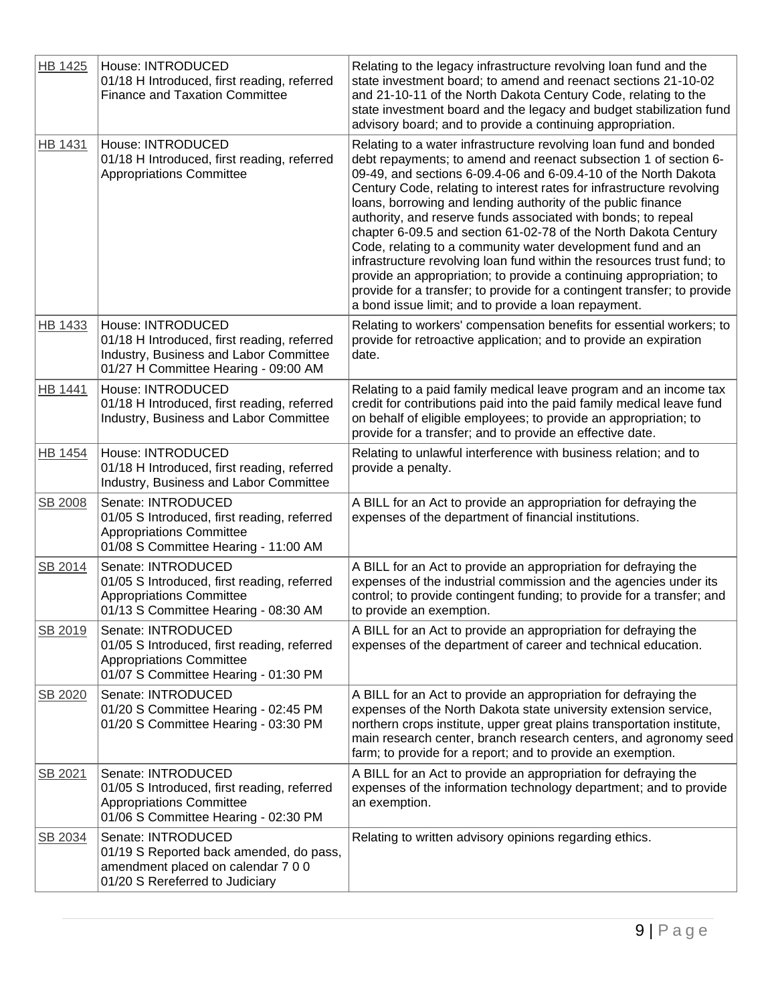| <b>HB 1425</b> | House: INTRODUCED<br>01/18 H Introduced, first reading, referred<br><b>Finance and Taxation Committee</b>                                          | Relating to the legacy infrastructure revolving loan fund and the<br>state investment board; to amend and reenact sections 21-10-02<br>and 21-10-11 of the North Dakota Century Code, relating to the<br>state investment board and the legacy and budget stabilization fund<br>advisory board; and to provide a continuing appropriation.                                                                                                                                                                                                                                                                                                                                                                                                                                                                                                |
|----------------|----------------------------------------------------------------------------------------------------------------------------------------------------|-------------------------------------------------------------------------------------------------------------------------------------------------------------------------------------------------------------------------------------------------------------------------------------------------------------------------------------------------------------------------------------------------------------------------------------------------------------------------------------------------------------------------------------------------------------------------------------------------------------------------------------------------------------------------------------------------------------------------------------------------------------------------------------------------------------------------------------------|
| <b>HB 1431</b> | House: INTRODUCED<br>01/18 H Introduced, first reading, referred<br><b>Appropriations Committee</b>                                                | Relating to a water infrastructure revolving loan fund and bonded<br>debt repayments; to amend and reenact subsection 1 of section 6-<br>09-49, and sections 6-09.4-06 and 6-09.4-10 of the North Dakota<br>Century Code, relating to interest rates for infrastructure revolving<br>loans, borrowing and lending authority of the public finance<br>authority, and reserve funds associated with bonds; to repeal<br>chapter 6-09.5 and section 61-02-78 of the North Dakota Century<br>Code, relating to a community water development fund and an<br>infrastructure revolving loan fund within the resources trust fund; to<br>provide an appropriation; to provide a continuing appropriation; to<br>provide for a transfer; to provide for a contingent transfer; to provide<br>a bond issue limit; and to provide a loan repayment. |
| <b>HB 1433</b> | House: INTRODUCED<br>01/18 H Introduced, first reading, referred<br>Industry, Business and Labor Committee<br>01/27 H Committee Hearing - 09:00 AM | Relating to workers' compensation benefits for essential workers; to<br>provide for retroactive application; and to provide an expiration<br>date.                                                                                                                                                                                                                                                                                                                                                                                                                                                                                                                                                                                                                                                                                        |
| <b>HB 1441</b> | House: INTRODUCED<br>01/18 H Introduced, first reading, referred<br>Industry, Business and Labor Committee                                         | Relating to a paid family medical leave program and an income tax<br>credit for contributions paid into the paid family medical leave fund<br>on behalf of eligible employees; to provide an appropriation; to<br>provide for a transfer; and to provide an effective date.                                                                                                                                                                                                                                                                                                                                                                                                                                                                                                                                                               |
| <b>HB 1454</b> | House: INTRODUCED<br>01/18 H Introduced, first reading, referred<br>Industry, Business and Labor Committee                                         | Relating to unlawful interference with business relation; and to<br>provide a penalty.                                                                                                                                                                                                                                                                                                                                                                                                                                                                                                                                                                                                                                                                                                                                                    |
| SB 2008        | Senate: INTRODUCED<br>01/05 S Introduced, first reading, referred<br><b>Appropriations Committee</b><br>01/08 S Committee Hearing - 11:00 AM       | A BILL for an Act to provide an appropriation for defraying the<br>expenses of the department of financial institutions.                                                                                                                                                                                                                                                                                                                                                                                                                                                                                                                                                                                                                                                                                                                  |
| SB 2014        | Senate: INTRODUCED<br>01/05 S Introduced, first reading, referred<br><b>Appropriations Committee</b><br>01/13 S Committee Hearing - 08:30 AM       | A BILL for an Act to provide an appropriation for defraying the<br>expenses of the industrial commission and the agencies under its<br>control; to provide contingent funding; to provide for a transfer; and<br>to provide an exemption.                                                                                                                                                                                                                                                                                                                                                                                                                                                                                                                                                                                                 |
| SB 2019        | Senate: INTRODUCED<br>01/05 S Introduced, first reading, referred<br><b>Appropriations Committee</b><br>01/07 S Committee Hearing - 01:30 PM       | A BILL for an Act to provide an appropriation for defraying the<br>expenses of the department of career and technical education.                                                                                                                                                                                                                                                                                                                                                                                                                                                                                                                                                                                                                                                                                                          |
| SB 2020        | Senate: INTRODUCED<br>01/20 S Committee Hearing - 02:45 PM<br>01/20 S Committee Hearing - 03:30 PM                                                 | A BILL for an Act to provide an appropriation for defraying the<br>expenses of the North Dakota state university extension service,<br>northern crops institute, upper great plains transportation institute,<br>main research center, branch research centers, and agronomy seed<br>farm; to provide for a report; and to provide an exemption.                                                                                                                                                                                                                                                                                                                                                                                                                                                                                          |
| SB 2021        | Senate: INTRODUCED<br>01/05 S Introduced, first reading, referred<br><b>Appropriations Committee</b><br>01/06 S Committee Hearing - 02:30 PM       | A BILL for an Act to provide an appropriation for defraying the<br>expenses of the information technology department; and to provide<br>an exemption.                                                                                                                                                                                                                                                                                                                                                                                                                                                                                                                                                                                                                                                                                     |
| SB 2034        | Senate: INTRODUCED<br>01/19 S Reported back amended, do pass,<br>amendment placed on calendar 7 0 0<br>01/20 S Rereferred to Judiciary             | Relating to written advisory opinions regarding ethics.                                                                                                                                                                                                                                                                                                                                                                                                                                                                                                                                                                                                                                                                                                                                                                                   |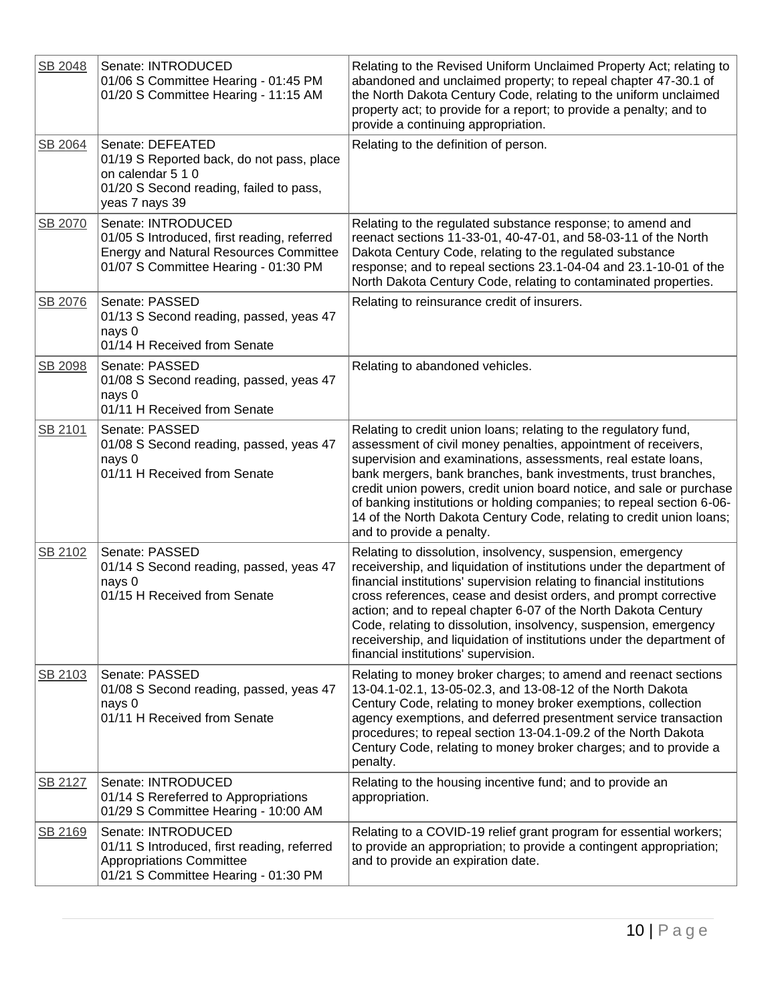| SB 2048 | Senate: INTRODUCED<br>01/06 S Committee Hearing - 01:45 PM<br>01/20 S Committee Hearing - 11:15 AM                                                         | Relating to the Revised Uniform Unclaimed Property Act; relating to<br>abandoned and unclaimed property; to repeal chapter 47-30.1 of<br>the North Dakota Century Code, relating to the uniform unclaimed<br>property act; to provide for a report; to provide a penalty; and to<br>provide a continuing appropriation.                                                                                                                                                                                                                  |
|---------|------------------------------------------------------------------------------------------------------------------------------------------------------------|------------------------------------------------------------------------------------------------------------------------------------------------------------------------------------------------------------------------------------------------------------------------------------------------------------------------------------------------------------------------------------------------------------------------------------------------------------------------------------------------------------------------------------------|
| SB 2064 | Senate: DEFEATED<br>01/19 S Reported back, do not pass, place<br>on calendar 5 1 0<br>01/20 S Second reading, failed to pass,<br>yeas 7 nays 39            | Relating to the definition of person.                                                                                                                                                                                                                                                                                                                                                                                                                                                                                                    |
| SB 2070 | Senate: INTRODUCED<br>01/05 S Introduced, first reading, referred<br><b>Energy and Natural Resources Committee</b><br>01/07 S Committee Hearing - 01:30 PM | Relating to the regulated substance response; to amend and<br>reenact sections 11-33-01, 40-47-01, and 58-03-11 of the North<br>Dakota Century Code, relating to the regulated substance<br>response; and to repeal sections 23.1-04-04 and 23.1-10-01 of the<br>North Dakota Century Code, relating to contaminated properties.                                                                                                                                                                                                         |
| SB 2076 | Senate: PASSED<br>01/13 S Second reading, passed, yeas 47<br>nays 0<br>01/14 H Received from Senate                                                        | Relating to reinsurance credit of insurers.                                                                                                                                                                                                                                                                                                                                                                                                                                                                                              |
| SB 2098 | Senate: PASSED<br>01/08 S Second reading, passed, yeas 47<br>nays 0<br>01/11 H Received from Senate                                                        | Relating to abandoned vehicles.                                                                                                                                                                                                                                                                                                                                                                                                                                                                                                          |
| SB 2101 | Senate: PASSED<br>01/08 S Second reading, passed, yeas 47<br>nays 0<br>01/11 H Received from Senate                                                        | Relating to credit union loans; relating to the regulatory fund,<br>assessment of civil money penalties, appointment of receivers,<br>supervision and examinations, assessments, real estate loans,<br>bank mergers, bank branches, bank investments, trust branches,<br>credit union powers, credit union board notice, and sale or purchase<br>of banking institutions or holding companies; to repeal section 6-06-<br>14 of the North Dakota Century Code, relating to credit union loans;<br>and to provide a penalty.              |
| SB 2102 | Senate: PASSED<br>01/14 S Second reading, passed, yeas 47<br>nays 0<br>01/15 H Received from Senate                                                        | Relating to dissolution, insolvency, suspension, emergency<br>receivership, and liquidation of institutions under the department of<br>financial institutions' supervision relating to financial institutions<br>cross references, cease and desist orders, and prompt corrective<br>action; and to repeal chapter 6-07 of the North Dakota Century<br>Code, relating to dissolution, insolvency, suspension, emergency<br>receivership, and liquidation of institutions under the department of<br>financial institutions' supervision. |
| SB 2103 | Senate: PASSED<br>01/08 S Second reading, passed, yeas 47<br>nays 0<br>01/11 H Received from Senate                                                        | Relating to money broker charges; to amend and reenact sections<br>13-04.1-02.1, 13-05-02.3, and 13-08-12 of the North Dakota<br>Century Code, relating to money broker exemptions, collection<br>agency exemptions, and deferred presentment service transaction<br>procedures; to repeal section 13-04.1-09.2 of the North Dakota<br>Century Code, relating to money broker charges; and to provide a<br>penalty.                                                                                                                      |
| SB 2127 | Senate: INTRODUCED<br>01/14 S Rereferred to Appropriations<br>01/29 S Committee Hearing - 10:00 AM                                                         | Relating to the housing incentive fund; and to provide an<br>appropriation.                                                                                                                                                                                                                                                                                                                                                                                                                                                              |
| SB 2169 | Senate: INTRODUCED<br>01/11 S Introduced, first reading, referred<br><b>Appropriations Committee</b><br>01/21 S Committee Hearing - 01:30 PM               | Relating to a COVID-19 relief grant program for essential workers;<br>to provide an appropriation; to provide a contingent appropriation;<br>and to provide an expiration date.                                                                                                                                                                                                                                                                                                                                                          |